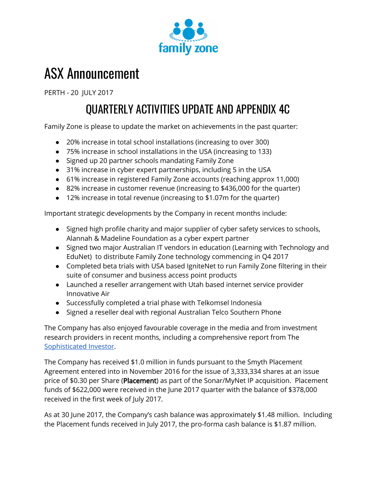

# ASX Announcement

PERTH - 20 JULY 2017

# QUARTERLY ACTIVITIES UPDATE AND APPENDIX 4C

Family Zone is please to update the market on achievements in the past quarter:

- 20% increase in total school installations (increasing to over 300)
- 75% increase in school installations in the USA (increasing to 133)
- Signed up 20 partner schools mandating Family Zone
- 31% increase in cyber expert partnerships, including 5 in the USA
- 61% increase in registered Family Zone accounts (reaching approx 11,000)
- 82% increase in customer revenue (increasing to \$436,000 for the quarter)
- 12% increase in total revenue (increasing to \$1.07m for the quarter)

Important strategic developments by the Company in recent months include:

- Signed high profile charity and major supplier of cyber safety services to schools, Alannah & Madeline Foundation as a cyber expert partner
- Signed two major Australian IT vendors in education (Learning with Technology and EduNet) to distribute Family Zone technology commencing in Q4 2017
- Completed beta trials with USA based IgniteNet to run Family Zone filtering in their suite of consumer and business access point products
- Launched a reseller arrangement with Utah based internet service provider Innovative Air
- Successfully completed a trial phase with Telkomsel Indonesia
- Signed a reseller deal with regional Australian Telco Southern Phone

The Company has also enjoyed favourable coverage in the media and from investment research providers in recent months, including a comprehensive report from The [Sophisticated](https://www.familyzone.com/au/investor) Investor.

The Company has received \$1.0 million in funds pursuant to the Smyth Placement Agreement entered into in November 2016 for the issue of 3,333,334 shares at an issue price of \$0.30 per Share (Placement) as part of the Sonar/MyNet IP acquisition. Placement funds of \$622,000 were received in the June 2017 quarter with the balance of \$378,000 received in the first week of July 2017.

As at 30 June 2017, the Company's cash balance was approximately \$1.48 million. Including the Placement funds received in July 2017, the pro-forma cash balance is \$1.87 million.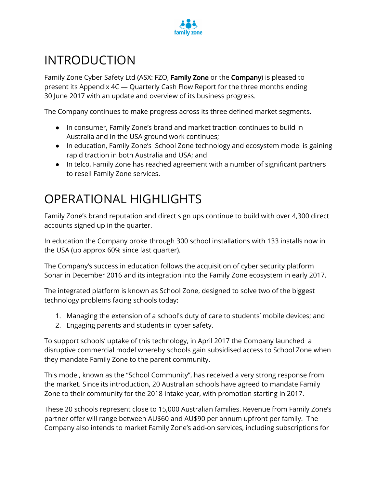

# INTRODUCTION

Family Zone Cyber Safety Ltd (ASX: FZO, Family Zone or the Company) is pleased to present its Appendix 4C — Quarterly Cash Flow Report for the three months ending 30 June 2017 with an update and overview of its business progress.

The Company continues to make progress across its three defined market segments.

- In consumer, Family Zone's brand and market traction continues to build in Australia and in the USA ground work continues;
- In education, Family Zone's School Zone technology and ecosystem model is gaining rapid traction in both Australia and USA; and
- In telco, Family Zone has reached agreement with a number of significant partners to resell Family Zone services.

## OPERATIONAL HIGHLIGHTS

Family Zone's brand reputation and direct sign ups continue to build with over 4,300 direct accounts signed up in the quarter.

In education the Company broke through 300 school installations with 133 installs now in the USA (up approx 60% since last quarter).

The Company's success in education follows the acquisition of cyber security platform Sonar in December 2016 and its integration into the Family Zone ecosystem in early 2017.

The integrated platform is known as School Zone, designed to solve two of the biggest technology problems facing schools today:

- 1. Managing the extension of a school's duty of care to students' mobile devices; and
- 2. Engaging parents and students in cyber safety.

To support schools' uptake of this technology, in April 2017 the Company launched a disruptive commercial model whereby schools gain subsidised access to School Zone when they mandate Family Zone to the parent community.

This model, known as the "School Community", has received a very strong response from the market. Since its introduction, 20 Australian schools have agreed to mandate Family Zone to their community for the 2018 intake year, with promotion starting in 2017.

These 20 schools represent close to 15,000 Australian families. Revenue from Family Zone's partner offer will range between AU\$60 and AU\$90 per annum upfront per family. The Company also intends to market Family Zone's add-on services, including subscriptions for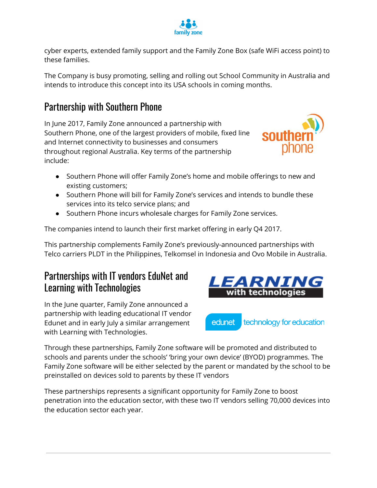

cyber experts, extended family support and the Family Zone Box (safe WiFi access point) to these families.

The Company is busy promoting, selling and rolling out School Community in Australia and intends to introduce this concept into its USA schools in coming months.

#### Partnership with Southern Phone

In June 2017, Family Zone announced a partnership with Southern Phone, one of the largest providers of mobile, fixed line and Internet connectivity to businesses and consumers throughout regional Australia. Key terms of the partnership include:

- Southern Phone will offer Family Zone's home and mobile offerings to new and existing customers;
- Southern Phone will bill for Family Zone's services and intends to bundle these services into its telco service plans; and
- Southern Phone incurs wholesale charges for Family Zone services.

The companies intend to launch their first market offering in early Q4 2017.

This partnership complements Family Zone's previously-announced partnerships with Telco carriers PLDT in the Philippines, Telkomsel in Indonesia and Ovo Mobile in Australia.

#### Partnerships with IT vendors EduNet and Learning with Technologies

In the June quarter, Family Zone announced a partnership with leading educational IT vendor Edunet and in early July a similar arrangement with Learning with Technologies.



Through these partnerships, Family Zone software will be promoted and distributed to schools and parents under the schools' 'bring your own device' (BYOD) programmes. The Family Zone software will be either selected by the parent or mandated by the school to be preinstalled on devices sold to parents by these IT vendors

These partnerships represents a significant opportunity for Family Zone to boost penetration into the education sector, with these two IT vendors selling 70,000 devices into the education sector each year.

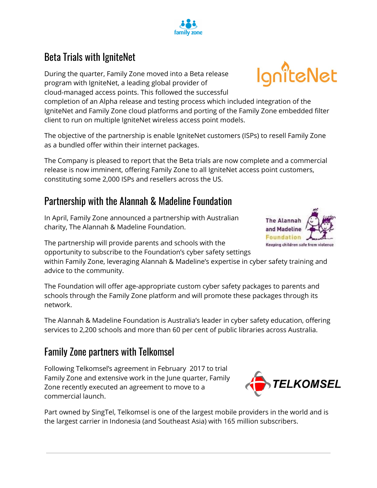## Beta Trials with IgniteNet

During the quarter, Family Zone moved into a Beta release program with IgniteNet, a leading global provider of cloud-managed access points. This followed the successful

completion of an Alpha release and testing process which included integration of the IgniteNet and Family Zone cloud platforms and porting of the Family Zone embedded filter client to run on multiple IgniteNet wireless access point models.

The objective of the partnership is enable IgniteNet customers (ISPs) to resell Family Zone as a bundled offer within their internet packages.

The Company is pleased to report that the Beta trials are now complete and a commercial release is now imminent, offering Family Zone to all IgniteNet access point customers, constituting some 2,000 ISPs and resellers across the US.

#### Partnership with the Alannah & Madeline Foundation

In April, Family Zone announced a partnership with Australian charity, The Alannah & Madeline Foundation.

The partnership will provide parents and schools with the opportunity to subscribe to the Foundation's cyber safety settings

within Family Zone, leveraging Alannah & Madeline's expertise in cyber safety training and advice to the community.

The Foundation will offer age-appropriate custom cyber safety packages to parents and schools through the Family Zone platform and will promote these packages through its network.

The Alannah & Madeline Foundation is Australia's leader in cyber safety education, offering services to 2,200 schools and more than 60 per cent of public libraries across Australia.

## Family Zone partners with Telkomsel

Following Telkomsel's agreement in February 2017 to trial Family Zone and extensive work in the June quarter, Family Zone recently executed an agreement to move to a commercial launch.

Part owned by SingTel, Telkomsel is one of the largest mobile providers in the world and is the largest carrier in Indonesia (and Southeast Asia) with 165 million subscribers.







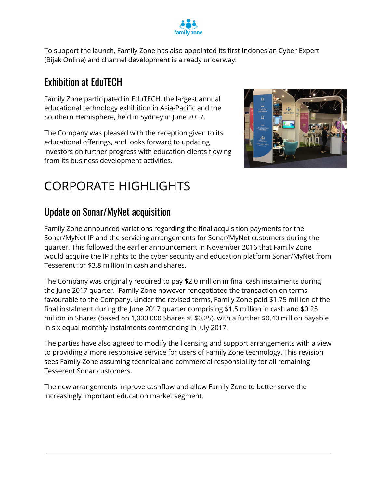

To support the launch, Family Zone has also appointed its first Indonesian Cyber Expert (Bijak Online) and channel development is already underway.

## Exhibition at EduTECH

Family Zone participated in EduTECH, the largest annual educational technology exhibition in Asia-Pacific and the Southern Hemisphere, held in Sydney in June 2017.

The Company was pleased with the reception given to its educational offerings, and looks forward to updating investors on further progress with education clients flowing from its business development activities.



# CORPORATE HIGHLIGHTS

## Update on Sonar/MyNet acquisition

Family Zone announced variations regarding the final acquisition payments for the Sonar/MyNet IP and the servicing arrangements for Sonar/MyNet customers during the quarter. This followed the earlier announcement in November 2016 that Family Zone would acquire the IP rights to the cyber security and education platform Sonar/MyNet from Tesserent for \$3.8 million in cash and shares.

The Company was originally required to pay \$2.0 million in final cash instalments during the June 2017 quarter. Family Zone however renegotiated the transaction on terms favourable to the Company. Under the revised terms, Family Zone paid \$1.75 million of the final instalment during the June 2017 quarter comprising \$1.5 million in cash and \$0.25 million in Shares (based on 1,000,000 Shares at \$0.25), with a further \$0.40 million payable in six equal monthly instalments commencing in July 2017.

The parties have also agreed to modify the licensing and support arrangements with a view to providing a more responsive service for users of Family Zone technology. This revision sees Family Zone assuming technical and commercial responsibility for all remaining Tesserent Sonar customers.

The new arrangements improve cashflow and allow Family Zone to better serve the increasingly important education market segment.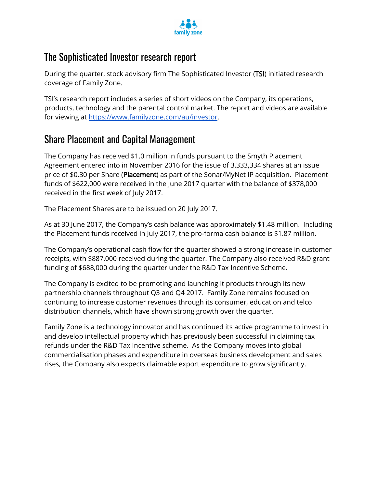

#### The Sophisticated Investor research report

During the quarter, stock advisory firm The Sophisticated Investor (TSI) initiated research coverage of Family Zone.

TSI's research report includes a series of short videos on the Company, its operations, products, technology and the parental control market. The report and videos are available for viewing at [https://www.familyzone.com/au/investor.](https://www.familyzone.com/au/investor)

#### Share Placement and Capital Management

The Company has received \$1.0 million in funds pursuant to the Smyth Placement Agreement entered into in November 2016 for the issue of 3,333,334 shares at an issue price of \$0.30 per Share (Placement) as part of the Sonar/MyNet IP acquisition. Placement funds of \$622,000 were received in the June 2017 quarter with the balance of \$378,000 received in the first week of July 2017.

The Placement Shares are to be issued on 20 July 2017.

As at 30 June 2017, the Company's cash balance was approximately \$1.48 million. Including the Placement funds received in July 2017, the pro-forma cash balance is \$1.87 million.

The Company's operational cash flow for the quarter showed a strong increase in customer receipts, with \$887,000 received during the quarter. The Company also received R&D grant funding of \$688,000 during the quarter under the R&D Tax Incentive Scheme.

The Company is excited to be promoting and launching it products through its new partnership channels throughout Q3 and Q4 2017. Family Zone remains focused on continuing to increase customer revenues through its consumer, education and telco distribution channels, which have shown strong growth over the quarter.

Family Zone is a technology innovator and has continued its active programme to invest in and develop intellectual property which has previously been successful in claiming tax refunds under the R&D Tax Incentive scheme. As the Company moves into global commercialisation phases and expenditure in overseas business development and sales rises, the Company also expects claimable export expenditure to grow significantly.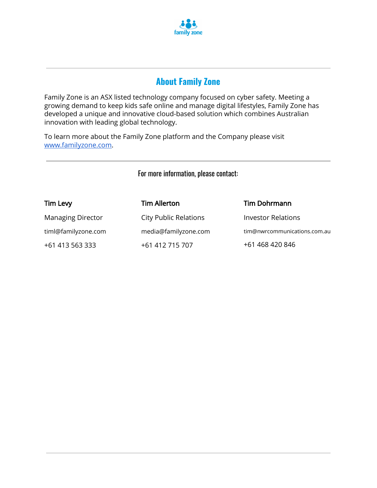

#### **About Family Zone**

Family Zone is an ASX listed technology company focused on cyber safety. Meeting a growing demand to keep kids safe online and manage digital lifestyles, Family Zone has developed a unique and innovative cloud-based solution which combines Australian innovation with leading global technology.

To learn more about the Family Zone platform and the Company please visit [www.familyzone.com.](http://www.familyzone.com/)

For more information, please contact:

| <b>Tim Levy</b>          | <b>Tim Allerton</b>          | <b>Tim Dohrmann</b>          |
|--------------------------|------------------------------|------------------------------|
| <b>Managing Director</b> | <b>City Public Relations</b> | <b>Investor Relations</b>    |
| timl@familyzone.com      | media@familyzone.com         | tim@nwrcommunications.com.au |
| +61 413 563 333          | +61 412 715 707              | +61 468 420 846              |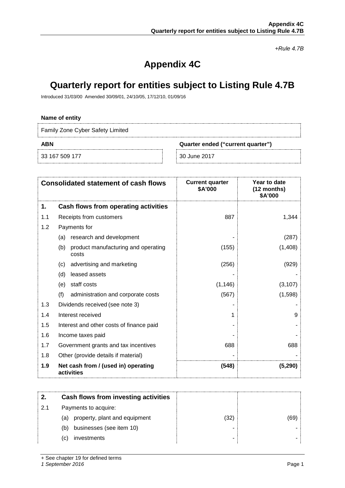*+Rule 4.7B*

## **Appendix 4C**

#### **Quarterly report for entities subject to Listing Rule 4.7B**

Introduced 31/03/00 Amended 30/09/01, 24/10/05, 17/12/10, 01/09/16

#### **Name of entity**

Family Zone Cyber Safety Limited

33 167 509 177 30 June 2017

**ABN Quarter ended ("current quarter")**

|     | <b>Consolidated statement of cash flows</b>         | <b>Current quarter</b><br>\$A'000 | Year to date<br>(12 months)<br>\$A'000 |
|-----|-----------------------------------------------------|-----------------------------------|----------------------------------------|
| 1.  | Cash flows from operating activities                |                                   |                                        |
| 1.1 | Receipts from customers                             | 887                               | 1,344                                  |
| 1.2 | Payments for                                        |                                   |                                        |
|     | research and development<br>(a)                     |                                   | (287)                                  |
|     | product manufacturing and operating<br>(b)<br>costs | (155)                             | (1,408)                                |
|     | advertising and marketing<br>(c)                    | (256)                             | (929)                                  |
|     | (d)<br>leased assets                                |                                   |                                        |
|     | staff costs<br>(e)                                  | (1, 146)                          | (3, 107)                               |
|     | (f)<br>administration and corporate costs           | (567)                             | (1,598)                                |
| 1.3 | Dividends received (see note 3)                     |                                   |                                        |
| 1.4 | Interest received                                   |                                   | 9                                      |
| 1.5 | Interest and other costs of finance paid            |                                   |                                        |
| 1.6 | Income taxes paid                                   |                                   |                                        |
| 1.7 | Government grants and tax incentives                | 688                               | 688                                    |
| 1.8 | Other (provide details if material)                 |                                   |                                        |
| 1.9 | Net cash from / (used in) operating<br>activities   | (548)                             | (5, 290)                               |

|     | Cash flows from investing activities |    |  |
|-----|--------------------------------------|----|--|
| -21 | Payments to acquire:                 |    |  |
|     | property, plant and equipment<br>(a) | 32 |  |
|     | businesses (see item 10)<br>(b)      |    |  |
|     | investments<br>(C)                   |    |  |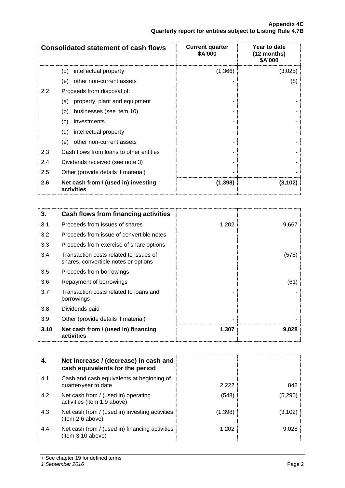|                                                            | <b>Appendix 4C</b> |
|------------------------------------------------------------|--------------------|
| Quarterly report for entities subject to Listing Rule 4.7B |                    |

|               | <b>Consolidated statement of cash flows</b>       | <b>Current quarter</b><br>\$A'000 | Year to date<br>(12 months)<br>\$A'000 |
|---------------|---------------------------------------------------|-----------------------------------|----------------------------------------|
|               | (d)<br>intellectual property                      | (1,366)                           | (3,025)                                |
|               | other non-current assets<br>(e)                   |                                   | (8)                                    |
| $2.2^{\circ}$ | Proceeds from disposal of:                        |                                   |                                        |
|               | property, plant and equipment<br>(a)              |                                   |                                        |
|               | businesses (see item 10)<br>(b)                   |                                   |                                        |
|               | (c)<br>investments                                |                                   |                                        |
|               | (d)<br>intellectual property                      |                                   |                                        |
|               | other non-current assets<br>(e)                   |                                   |                                        |
| 2.3           | Cash flows from loans to other entities           |                                   |                                        |
| 2.4           | Dividends received (see note 3)                   |                                   |                                        |
| 2.5           | Other (provide details if material)               |                                   |                                        |
| 2.6           | Net cash from / (used in) investing<br>activities | (1, 398)                          | (3,102)                                |

| 3.   | Cash flows from financing activities                                           |       |       |
|------|--------------------------------------------------------------------------------|-------|-------|
| 3.1  | Proceeds from issues of shares                                                 | 1,202 | 9,667 |
| 3.2  | Proceeds from issue of convertible notes                                       |       |       |
| 3.3  | Proceeds from exercise of share options                                        |       |       |
| 3.4  | Transaction costs related to issues of<br>shares, convertible notes or options |       | (578) |
| 3.5  | Proceeds from borrowings                                                       |       |       |
| 3.6  | Repayment of borrowings                                                        |       | (61)  |
| 3.7  | Transaction costs related to loans and<br>borrowings                           |       |       |
| 3.8  | Dividends paid                                                                 |       |       |
| 3.9  | Other (provide details if material)                                            |       |       |
| 3.10 | Net cash from / (used in) financing<br>activities                              | 1,307 | 9,028 |

| 4.  | Net increase / (decrease) in cash and<br>cash equivalents for the period |         |         |
|-----|--------------------------------------------------------------------------|---------|---------|
| 4.1 | Cash and cash equivalents at beginning of<br>quarter/year to date        | 2,222   | 842     |
| 4.2 | Net cash from / (used in) operating<br>activities (item 1.9 above)       | (548)   | (5,290) |
| 4.3 | Net cash from / (used in) investing activities<br>(item 2.6 above)       | (1,398) | (3,102) |
| 4.4 | Net cash from / (used in) financing activities<br>(item 3.10 above)      | 1,202   | 9.028   |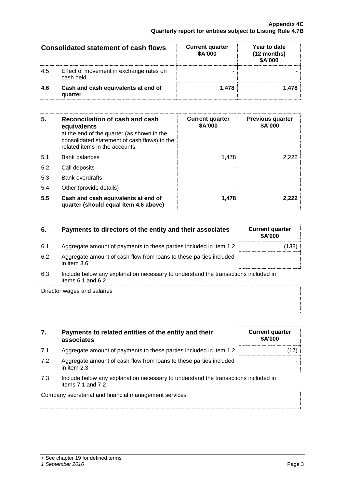|      | <b>Consolidated statement of cash flows</b>          | <b>Current quarter</b><br>\$A'000 | Year to date<br>(12 months)<br>\$A'000 |
|------|------------------------------------------------------|-----------------------------------|----------------------------------------|
| -4.5 | Effect of movement in exchange rates on<br>cash held |                                   |                                        |
| 4.6  | Cash and cash equivalents at end of<br>quarter       | ∣ 478                             |                                        |

| 5.  | Reconciliation of cash and cash<br>equivalents<br>at the end of the quarter (as shown in the<br>consolidated statement of cash flows) to the<br>related items in the accounts | <b>Current quarter</b><br>\$A'000 | <b>Previous quarter</b><br>\$A'000 |
|-----|-------------------------------------------------------------------------------------------------------------------------------------------------------------------------------|-----------------------------------|------------------------------------|
| 5.1 | Bank balances                                                                                                                                                                 | 1,478                             | 2 222                              |
| 5.2 | Call deposits                                                                                                                                                                 |                                   |                                    |
| 5.3 | <b>Bank overdrafts</b>                                                                                                                                                        |                                   |                                    |
| 5.4 | Other (provide details)                                                                                                                                                       | ۰                                 |                                    |
| 5.5 | Cash and cash equivalents at end of<br>quarter (should equal item 4.6 above)                                                                                                  | 1.478                             |                                    |

#### **6.** Payments to directors of the entity and their associates

- 6.1 Aggregate amount of payments to these parties included in item 1.2
- 6.2 Aggregate amount of cash flow from loans to these parties included in item 3.6
- 6.3 Include below any explanation necessary to understand the transactions included in items 6.1 and 6.2

Director wages and salaries

| 7. | Payments to related entities of the entity and their |
|----|------------------------------------------------------|
|    | associates                                           |

- 7.1 Aggregate amount of payments to these parties included in item 1.2
- 7.2 Aggregate amount of cash flow from loans to these parties included in item 2.3
- 7.3 Include below any explanation necessary to understand the transactions included in items 7.1 and 7.2

Company secretarial and financial management services

| <b>Current quarter</b><br>\$A'000 |
|-----------------------------------|
| (17)                              |
|                                   |
|                                   |

| <b>Current quarter</b><br><b>\$A'000</b> |       |
|------------------------------------------|-------|
|                                          | (138) |
|                                          |       |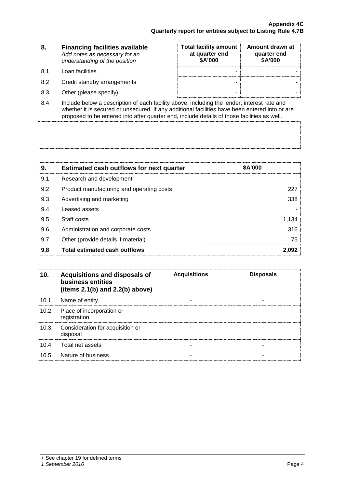| 8. | <b>Financing facilities available</b> |
|----|---------------------------------------|
|    | Add notes as necessary for an         |
|    | understanding of the position         |

- 8.1 Loan facilities
- 8.2 Credit standby arrangements
- 8.3 Other (please specify)

| <b>Total facility amount</b><br>at quarter end<br>\$A'000 | Amount drawn at<br>quarter end<br>\$A'000 |
|-----------------------------------------------------------|-------------------------------------------|
|                                                           |                                           |
|                                                           |                                           |
|                                                           |                                           |

8.4 Include below a description of each facility above, including the lender, interest rate and whether it is secured or unsecured. If any additional facilities have been entered into or are proposed to be entered into after quarter end, include details of those facilities as well.

| 9.  | <b>Estimated cash outflows for next quarter</b> | <b>\$A'000</b> |
|-----|-------------------------------------------------|----------------|
| 9.1 | Research and development                        |                |
| 9.2 | Product manufacturing and operating costs       | 227            |
| 9.3 | Advertising and marketing                       | 338            |
| 9.4 | Leased assets                                   |                |
| 9.5 | Staff costs                                     | 1.134          |
| 9.6 | Administration and corporate costs              | 316            |
| 9.7 | Other (provide details if material)             | 75             |
| 9.8 | Total estimated cash outflows                   |                |

|      | Acquisitions and disposals of<br>business entities<br>(items $2.1(b)$ and $2.2(b)$ above) | <b>Acquisitions</b> | <b>Disposals</b> |
|------|-------------------------------------------------------------------------------------------|---------------------|------------------|
| 10.1 | Name of entity                                                                            |                     |                  |
| 10.2 | Place of incorporation or<br>registration                                                 |                     |                  |
| 10.3 | Consideration for acquisition or<br>disposal                                              |                     |                  |
| 104  | Total net assets                                                                          |                     |                  |
| 10.5 | Nature of business                                                                        |                     |                  |